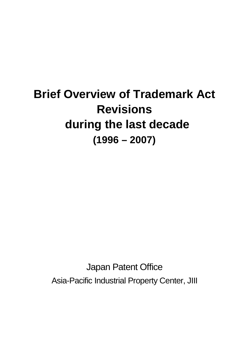# **Brief Overview of Trademark Act Revisions during the last decade (1996 – 2007)**

Japan Patent Office Asia-Pacific Industrial Property Center, JIII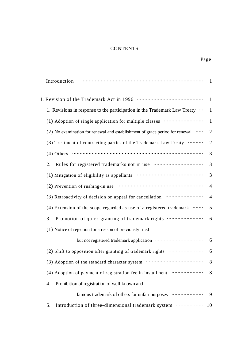# **CONTENTS**

| Introduction                                                                                                                                                          | $\overline{1}$  |
|-----------------------------------------------------------------------------------------------------------------------------------------------------------------------|-----------------|
|                                                                                                                                                                       | $\mathbf{1}$    |
| 1. Revisions in response to the participation in the Trademark Law Treaty $\cdots$                                                                                    | 1               |
| (1) Adoption of single application for multiple classes                                                                                                               | $\mathbf{1}$    |
| (2) No examination for renewal and establishment of grace period for renewal $\cdots$                                                                                 | $\overline{2}$  |
| (3) Treatment of contracting parties of the Trademark Law Treaty                                                                                                      | $\overline{2}$  |
| $(4)$ Others $\cdots$ $\cdots$ $\cdots$ $\cdots$ $\cdots$ $\cdots$ $\cdots$ $\cdots$ $\cdots$ $\cdots$ $\cdots$ $\cdots$ $\cdots$ $\cdots$ $\cdots$ $\cdots$ $\cdots$ | 3               |
| 2.                                                                                                                                                                    | 3               |
|                                                                                                                                                                       | 3               |
|                                                                                                                                                                       | $\overline{4}$  |
| (3) Retroactivity of decision on appeal for cancellation                                                                                                              | $\overline{4}$  |
| (4) Extension of the scope regarded as use of a registered trademark $\cdots$                                                                                         | $5\overline{)}$ |
| Promotion of quick granting of trademark rights<br>3.                                                                                                                 | 6               |
| (1) Notice of rejection for a reason of previously filed                                                                                                              |                 |
|                                                                                                                                                                       | 6               |
| (2) Shift to opposition after granting of trademark rights                                                                                                            | 6               |
| (3) Adoption of the standard character system                                                                                                                         | 8               |
| (4) Adoption of payment of registration fee in installment                                                                                                            | 8               |
| Prohibition of registration of well-known and<br>4.                                                                                                                   |                 |
| famous trademark of others for unfair purposes                                                                                                                        | 9               |
| Introduction of three-dimensional trademark system<br>5.                                                                                                              | 10              |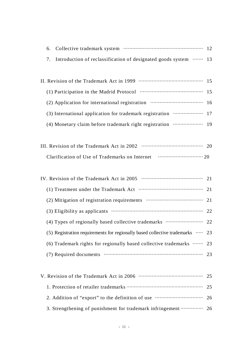| 6. |                                                                  |    |
|----|------------------------------------------------------------------|----|
| 7. | Introduction of reclassification of designated goods system  13  |    |
|    |                                                                  |    |
|    |                                                                  |    |
|    |                                                                  |    |
|    | (2) Application for international registration manufacture of 16 |    |
|    | (3) International application for trademark registration  17     |    |
|    | (4) Monetary claim before trademark right registration  19       |    |
|    |                                                                  |    |
|    |                                                                  |    |
|    | Clarification of Use of Trademarks on Internet manufacture 20    |    |
|    |                                                                  |    |
|    |                                                                  |    |
|    |                                                                  | 21 |
|    |                                                                  | 21 |
|    |                                                                  | 22 |
|    | (4) Types of regionally based collective trademarks  22          |    |
|    |                                                                  |    |

(5) Registration requirements for regionally based collective trademarks ····· 23 (6) Trademark rights for regionally based collective trademarks ······· 23 (7) Required documents  $\cdots$  23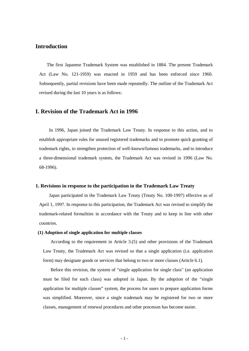# **Introduction**

The first Japanese Trademark System was established in 1884. The present Trademark Act (Law No. 121-1959) was enacted in 1959 and has been enforced since 1960. Subsequently, partial revisions have been made repeatedly. The outline of the Trademark Act revised during the last 10 years is as follows:

#### **I. Revision of the Trademark Act in 1996**

 In 1996, Japan joined the Trademark Law Treaty. In response to this action, and to establish appropriate rules for unused registered trademarks and to promote quick granting of trademark rights, to strengthen protection of well-known/famous trademarks, and to introduce a three-dimensional trademark system, the Trademark Act was revised in 1996 (Law No. 68-1996).

#### **1. Revisions in response to the participation in the Trademark Law Treaty**

 Japan participated in the Trademark Law Treaty (Treaty No. 100-1997) effective as of April 1, 1997. In response to this participation, the Trademark Act was revised to simplify the trademark-related formalities in accordance with the Treaty and to keep in line with other countries.

#### **(1) Adoption of single application for multiple classes**

According to the requirement in Article 3.(5) and other provisions of the Trademark Law Treaty, the Trademark Act was revised so that a single application (i.e. application form) may designate goods or services that belong to two or more classes (Article 6.1).

Before this revision, the system of "single application for single class" (an application must be filed for each class) was adopted in Japan. By the adoption of the "single application for multiple classes" system, the process for users to prepare application forms was simplified. Moreover, since a single trademark may be registered for two or more classes, management of renewal procedures and other processes has become easier.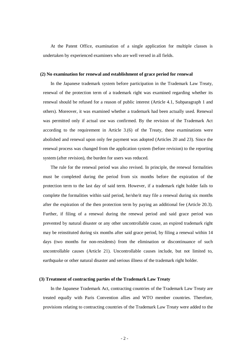At the Patent Office, examination of a single application for multiple classes is undertaken by experienced examiners who are well versed in all fields.

#### **(2) No examination for renewal and establishment of grace period for renewal**

In the Japanese trademark system before participation in the Trademark Law Treaty, renewal of the protection term of a trademark right was examined regarding whether its renewal should be refused for a reason of public interest (Article 4.1, Subparagraph 1 and others). Moreover, it was examined whether a trademark had been actually used. Renewal was permitted only if actual use was confirmed. By the revision of the Trademark Act according to the requirement in Article 3.(6) of the Treaty, these examinations were abolished and renewal upon only fee payment was adopted (Articles 20 and 23). Since the renewal process was changed from the application system (before revision) to the reporting system (after revision), the burden for users was reduced.

The rule for the renewal period was also revised. In principle, the renewal formalities must be completed during the period from six months before the expiration of the protection term to the last day of said term. However, if a trademark right holder fails to complete the formalities within said period, he/she/it may file a renewal during six months after the expiration of the then protection term by paying an additional fee (Article 20.3). Further, if filing of a renewal during the renewal period and said grace period was prevented by natural disaster or any other uncontrollable cause, an expired trademark right may be reinstituted during six months after said grace period, by filing a renewal within 14 days (two months for non-residents) from the elimination or discontinuance of such uncontrollable causes (Article 21). Uncontrollable causes include, but not limited to, earthquake or other natural disaster and serious illness of the trademark right holder.

#### **(3) Treatment of contracting parties of the Trademark Law Treaty**

In the Japanese Trademark Act, contracting countries of the Trademark Law Treaty are treated equally with Paris Convention allies and WTO member countries. Therefore, provisions relating to contracting countries of the Trademark Law Treaty were added to the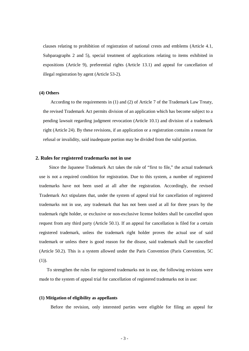clauses relating to prohibition of registration of national crests and emblems (Article 4.1, Subparagraphs 2 and 5), special treatment of applications relating to items exhibited in expositions (Article 9), preferential rights (Article 13.1) and appeal for cancellation of illegal registration by agent (Article 53-2).

#### **(4) Others**

According to the requirements in (1) and (2) of Article 7 of the Trademark Law Treaty, the revised Trademark Act permits division of an application which has become subject to a pending lawsuit regarding judgment revocation (Article 10.1) and division of a trademark right (Article 24). By these revisions, if an application or a registration contains a reason for refusal or invalidity, said inadequate portion may be divided from the valid portion.

#### **2. Rules for registered trademarks not in use**

Since the Japanese Trademark Act takes the rule of "first to file," the actual trademark use is not a required condition for registration. Due to this system, a number of registered trademarks have not been used at all after the registration. Accordingly, the revised Trademark Act stipulates that, under the system of appeal trial for cancellation of registered trademarks not in use, any trademark that has not been used at all for three years by the trademark right holder, or exclusive or non-exclusive license holders shall be cancelled upon request from any third party (Article 50.1). If an appeal for cancellation is filed for a certain registered trademark, unless the trademark right holder proves the actual use of said trademark or unless there is good reason for the disuse, said trademark shall be cancelled (Article 50.2). This is a system allowed under the Paris Convention (Paris Convention, 5C (1)).

To strengthen the rules for registered trademarks not in use, the following revisions were made to the system of appeal trial for cancellation of registered trademarks not in use:

#### **(1) Mitigation of eligibility as appellants**

Before the revision, only interested parties were eligible for filing an appeal for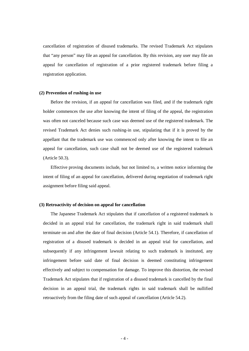cancellation of registration of disused trademarks. The revised Trademark Act stipulates that "any person" may file an appeal for cancellation. By this revision, any user may file an appeal for cancellation of registration of a prior registered trademark before filing a registration application.

#### **(2) Prevention of rushing-in use**

Before the revision, if an appeal for cancellation was filed, and if the trademark right holder commences the use after knowing the intent of filing of the appeal, the registration was often not canceled because such case was deemed use of the registered trademark. The revised Trademark Act denies such rushing-in use, stipulating that if it is proved by the appellant that the trademark use was commenced only after knowing the intent to file an appeal for cancellation, such case shall not be deemed use of the registered trademark (Article 50.3).

Effective proving documents include, but not limited to, a written notice informing the intent of filing of an appeal for cancellation, delivered during negotiation of trademark right assignment before filing said appeal.

#### **(3) Retroactivity of decision on appeal for cancellation**

The Japanese Trademark Act stipulates that if cancellation of a registered trademark is decided in an appeal trial for cancellation, the trademark right in said trademark shall terminate on and after the date of final decision (Article 54.1). Therefore, if cancellation of registration of a disused trademark is decided in an appeal trial for cancellation, and subsequently if any infringement lawsuit relating to such trademark is instituted, any infringement before said date of final decision is deemed constituting infringement effectively and subject to compensation for damage. To improve this distortion, the revised Trademark Act stipulates that if registration of a disused trademark is cancelled by the final decision in an appeal trial, the trademark rights in said trademark shall be nullified retroactively from the filing date of such appeal of cancellation (Article 54.2).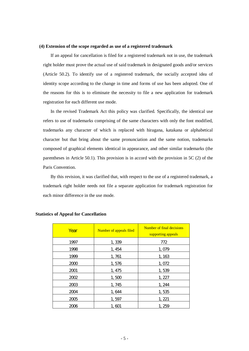#### **(4) Extension of the scope regarded as use of a registered trademark**

If an appeal for cancellation is filed for a registered trademark not in use, the trademark right holder must prove the actual use of said trademark in designated goods and/or services (Article 50.2). To identify use of a registered trademark, the socially accepted idea of identity scope according to the change in time and forms of use has been adopted. One of the reasons for this is to eliminate the necessity to file a new application for trademark registration for each different use mode.

In the revised Trademark Act this policy was clarified. Specifically, the identical use refers to use of trademarks comprising of the same characters with only the font modified, trademarks any character of which is replaced with hiragana, katakana or alphabetical character but that bring about the same pronunciation and the same notion, trademarks composed of graphical elements identical in appearance, and other similar trademarks (the parentheses in Article 50.1). This provision is in accord with the provision in 5C (2) of the Paris Convention.

By this revision, it was clarified that, with respect to the use of a registered trademark, a trademark right holder needs not file a separate application for trademark registration for each minor difference in the use mode.

| Year | Number of appeals filed | Number of final decisions<br>supporting appeals |
|------|-------------------------|-------------------------------------------------|
| 1997 | 1,339                   | 772                                             |
| 1998 | 1,454                   | 1,079                                           |
| 1999 | 1,761                   | 1,163                                           |
| 2000 | 1,576                   | 1,072                                           |
| 2001 | 1, 475                  | 1,539                                           |
| 2002 | 1,500                   | 1, 227                                          |
| 2003 | 1,745                   | 1,244                                           |
| 2004 | 1,644                   | 1,535                                           |
| 2005 | 1,597                   | 1, 221                                          |
| 2006 | 1,601                   | 1, 259                                          |

#### **Statistics of Appeal for Cancellation**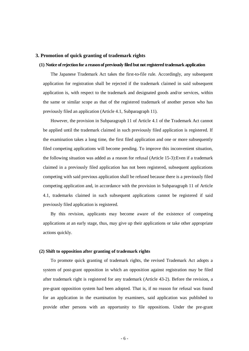#### **3. Promotion of quick granting of trademark rights**

#### **(1) Notice of rejection for a reason of previously filed but not registered trademark application**

The Japanese Trademark Act takes the first-to-file rule. Accordingly, any subsequent application for registration shall be rejected if the trademark claimed in said subsequent application is, with respect to the trademark and designated goods and/or services, within the same or similar scope as that of the registered trademark of another person who has previously filed an application (Article 4.1, Subparagraph 11).

However, the provision in Subparagraph 11 of Article 4.1 of the Trademark Act cannot be applied until the trademark claimed in such previously filed application is registered. If the examination takes a long time, the first filed application and one or more subsequently filed competing applications will become pending. To improve this inconvenient situation, the following situation was added as a reason for refusal (Article 15-3):Even if a trademark claimed in a previously filed application has not been registered, subsequent applications competing with said previous application shall be refused because there is a previously filed competing application and, in accordance with the provision in Subparagraph 11 of Article 4.1, trademarks claimed in such subsequent applications cannot be registered if said previously filed application is registered.

By this revision, applicants may become aware of the existence of competing applications at an early stage, thus, may give up their applications or take other appropriate actions quickly.

#### **(2) Shift to opposition after granting of trademark rights**

To promote quick granting of trademark rights, the revised Trademark Act adopts a system of post-grant opposition in which an opposition against registration may be filed after trademark right is registered for any trademark (Article 43-2). Before the revision, a pre-grant opposition system had been adopted. That is, if no reason for refusal was found for an application in the examination by examiners, said application was published to provide other persons with an opportunity to file oppositions. Under the pre-grant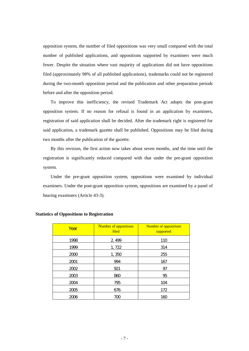opposition system, the number of filed oppositions was very small compared with the total number of published applications, and oppositions supported by examiners were much fewer. Despite the situation where vast majority of applications did not have oppositions filed (approximately 98% of all published applications), trademarks could not be registered during the two-month opposition period and the publication and other preparation periods before and after the opposition period.

To improve this inefficiency, the revised Trademark Act adopts the post-grant opposition system. If no reason for refusal is found in an application by examiners, registration of said application shall be decided. After the trademark right is registered for said application, a trademark gazette shall be published. Oppositions may be filed during two months after the publication of the gazette.

By this revision, the first action now takes about seven months, and the time until the registration is significantly reduced compared with that under the pre-grant opposition system.

Under the pre-grant opposition system, oppositions were examined by individual examiners. Under the post-grant opposition system, oppositions are examined by a panel of hearing examiners (Article 43-3).

| Year | <b>Number of oppositions</b><br>filed | <b>Number of oppositions</b><br>supported |
|------|---------------------------------------|-------------------------------------------|
| 1998 | 2,499                                 | 110                                       |
| 1999 | 1,722                                 | 314                                       |
| 2000 | 1,350                                 | 255                                       |
| 2001 | 994                                   | 167                                       |
| 2002 | 921                                   | 97                                        |
| 2003 | 860                                   | 95                                        |
| 2004 | 795                                   | 104                                       |
| 2005 | 676                                   | 172                                       |
| 2006 | 700                                   | 160                                       |

#### **Statistics of Oppositions to Registration**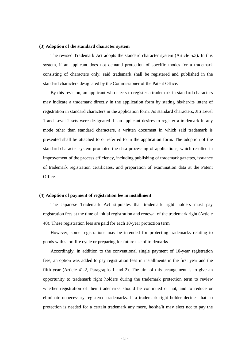#### **(3) Adoption of the standard character system**

The revised Trademark Act adopts the standard character system (Article 5.3). In this system, if an applicant does not demand protection of specific modes for a trademark consisting of characters only, said trademark shall be registered and published in the standard characters designated by the Commissioner of the Patent Office.

By this revision, an applicant who elects to register a trademark in standard characters may indicate a trademark directly in the application form by stating his/her/its intent of registration in standard characters in the application form. As standard characters, JIS Level 1 and Level 2 sets were designated. If an applicant desires to register a trademark in any mode other than standard characters, a written document in which said trademark is presented shall be attached to or referred to in the application form. The adoption of the standard character system promoted the data processing of applications, which resulted in improvement of the process efficiency, including publishing of trademark gazettes, issuance of trademark registration certificates, and preparation of examination data at the Patent Office.

#### **(4) Adoption of payment of registration fee in installment**

The Japanese Trademark Act stipulates that trademark right holders must pay registration fees at the time of initial registration and renewal of the trademark right (Article 40). These registration fees are paid for each 10-year protection term.

However, some registrations may be intended for protecting trademarks relating to goods with short life cycle or preparing for future use of trademarks.

Accordingly, in addition to the conventional single payment of 10-year registration fees, an option was added to pay registration fees in installments in the first year and the fifth year (Article 41-2, Paragraphs 1 and 2). The aim of this arrangement is to give an opportunity to trademark right holders during the trademark protection term to review whether registration of their trademarks should be continued or not, and to reduce or eliminate unnecessary registered trademarks. If a trademark right holder decides that no protection is needed for a certain trademark any more, he/she/it may elect not to pay the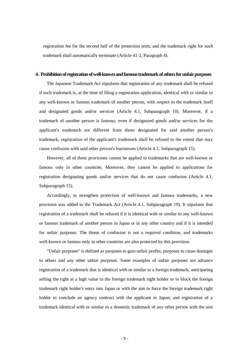registration fee for the second half of the protection term, and the trademark right for such trademark shall automatically terminate (Article 41-2, Paragraph 4).

#### **4. Prohibition of registration of well-known and famous trademark of others for unfair purposes**

The Japanese Trademark Act stipulates that registration of any trademark shall be refused if such trademark is, at the time of filing a registration application, identical with or similar to any well-known or famous trademark of another person, with respect to the trademark itself and designated goods and/or services (Article 4.1, Subparagraph 10). Moreover, if a trademark of another person is famous, even if designated goods and/or services for the applicant's trademark are different from those designated for said another person's trademark, registration of the applicant's trademark shall be refused to the extent that may cause confusion with said other person's businesses (Article 4.1, Subparagraph 15).

However, all of these provisions cannot be applied to trademarks that are well-known or famous only in other countries. Moreover, they cannot be applied to applications for registration designating goods and/or services that do not cause confusion (Article 4.1, Subparagraph 15).

Accordingly, to strengthen protection of well-known and famous trademarks, a new provision was added to the Trademark Act (Article 4.1, Subparagraph 19). It stipulates that registration of a trademark shall be refused if it is identical with or similar to any well-known or famous trademark of another person in Japan or in any other country and if it is intended for unfair purposes. The threat of confusion is not a required condition, and trademarks well-known or famous only in other countries are also protected by this provision.

"Unfair purposes" is defined as purposes to gain unfair profits, purposes to cause damages to others and any other unfair purposes. Some examples of unfair purposes are advance registration of a trademark that is identical with or similar to a foreign trademark, anticipating selling the right at a high value to the foreign trademark right holder or to block the foreign trademark right holder's entry into Japan or with the aim to force the foreign trademark right holder to conclude an agency contract with the applicant in Japan; and registration of a trademark identical with or similar to a domestic trademark of any other person with the aim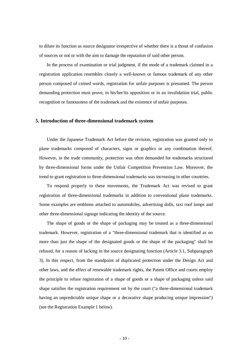to dilute its function as source designator irrespective of whether there is a threat of confusion of sources or not or with the aim to damage the reputation of said other person.

In the process of examination or trial judgment, if the mode of a trademark claimed in a registration application resembles closely a well-known or famous trademark of any other person composed of coined words, registration for unfair purposes is presumed. The person demanding protection must prove, in his/her/its opposition or in an invalidation trial, public recognition or famousness of the trademark and the existence of unfair purposes.

#### **5. Introduction of three-dimensional trademark system**

Under the Japanese Trademark Act before the revision, registration was granted only to plane trademarks composed of characters, signs or graphics or any combination thereof. However, in the trade community, protection was often demanded for trademarks structured by three-dimensional forms under the Unfair Competition Prevention Law. Moreover, the trend to grant registration to three-dimensional trademarks was increasing in other countries.

To respond properly to these movements, the Trademark Act was revised to grant registration of three-dimensional trademarks in addition to conventional plane trademarks. Some examples are emblems attached to automobiles, advertising dolls, taxi roof lamps and other three-dimensional signage indicating the identity of the source.

The shape of goods or the shape of packaging may be treated as a three-dimensional trademark. However, registration of a "three-dimensional trademark that is identified as no more than just the shape of the designated goods or the shape of the packaging" shall be refused, for a reason of lacking in the source designating function (Article 3.1, Subparagraph 3). In this respect, from the standpoint of duplicated protection under the Design Act and other laws, and the effect of renewable trademark rights, the Patent Office and courts employ the principle to refuse registration of a shape of goods or a shape of packaging unless said shape satisfies the registration requirement set by the court ("a three-dimensional trademark having an unpredictable unique shape or a decorative shape producing unique impression") (see the Registration Example 1 below).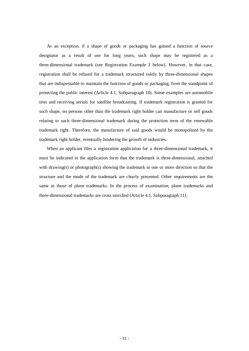As an exception, if a shape of goods or packaging has gained a function of source designator as a result of use for long years, such shape may be registered as a three-dimensional trademark (see Registration Example 2 below). However, in that case, registration shall be refused for a trademark structured solely by three-dimensional shapes that are indispensable to maintain the function of goods or packaging, from the standpoint of protecting the public interest (Article 4.1, Subparagraph 18). Some examples are automobile tires and receiving aerials for satellite broadcasting. If trademark registration is granted for such shape, no persons other than the trademark right holder can manufacture or sell goods relating to such three-dimensional trademark during the protection term of the renewable trademark right. Therefore, the manufacture of said goods would be monopolized by the trademark right holder, eventually hindering the growth of industries.

When an applicant files a registration application for a three-dimensional trademark, it must be indicated in the application form that the trademark is three-dimensional, attached with drawing(s) or photograph(s) showing the trademark in one or more direction so that the structure and the mode of the trademark are clearly presented. Other requirements are the same as those of plane trademarks. In the process of examination, plane trademarks and three-dimensional trademarks are cross searched (Article 4.1, Subparagraph 11).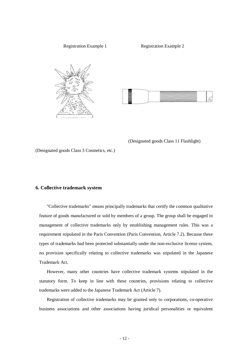

(Designated goods Class 11 Flashlight)

(Designated goods Class 3 Cosmetics, etc.)

#### **6. Collective trademark system**

"Collective trademarks" means principally trademarks that certify the common qualitative feature of goods manufactured or sold by members of a group. The group shall be engaged in management of collective trademarks only by establishing management rules. This was a requirement stipulated in the Paris Convention (Paris Convention, Article 7.2). Because these types of trademarks had been protected substantially under the non-exclusive license system, no provision specifically relating to collective trademarks was stipulated in the Japanese Trademark Act.

However, many other countries have collective trademark systems stipulated in the statutory form. To keep in line with these countries, provisions relating to collective trademarks were added to the Japanese Trademark Act (Article 7).

Registration of collective trademarks may be granted only to corporations, co-operative business associations and other associations having juridical personalities or equivalent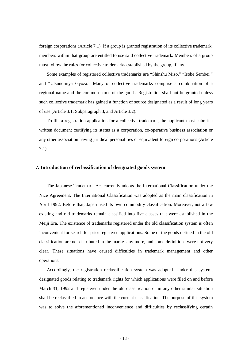foreign corporations (Article 7.1). If a group is granted registration of its collective trademark, members within that group are entitled to use said collective trademark. Members of a group must follow the rules for collective trademarks established by the group, if any.

Some examples of registered collective trademarks are "Shinshu Miso," "Isobe Sembei," and "Utsunomiya Gyoza." Many of collective trademarks comprise a combination of a regional name and the common name of the goods. Registration shall not be granted unless such collective trademark has gained a function of source designated as a result of long years of use (Article 3.1, Subparagraph 3, and Article 3.2).

To file a registration application for a collective trademark, the applicant must submit a written document certifying its status as a corporation, co-operative business association or any other association having juridical personalities or equivalent foreign corporations (Article 7.1)

#### **7. Introduction of reclassification of designated goods system**

The Japanese Trademark Act currently adopts the International Classification under the Nice Agreement. The International Classification was adopted as the main classification in April 1992. Before that, Japan used its own commodity classification. Moreover, not a few existing and old trademarks remain classified into five classes that were established in the Meiji Era. The existence of trademarks registered under the old classification system is often inconvenient for search for prior registered applications. Some of the goods defined in the old classification are not distributed in the market any more, and some definitions were not very clear. These situations have caused difficulties in trademark management and other operations.

Accordingly, the registration reclassification system was adopted. Under this system, designated goods relating to trademark rights for which applications were filed on and before March 31, 1992 and registered under the old classification or in any other similar situation shall be reclassified in accordance with the current classification. The purpose of this system was to solve the aforementioned inconvenience and difficulties by reclassifying certain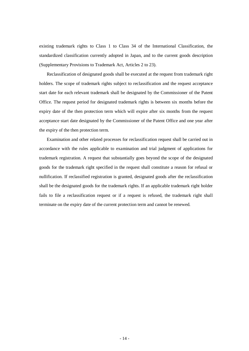existing trademark rights to Class 1 to Class 34 of the International Classification, the standardized classification currently adopted in Japan, and to the current goods description (Supplementary Provisions to Trademark Act, Articles 2 to 23).

Reclassification of designated goods shall be executed at the request from trademark right holders. The scope of trademark rights subject to reclassification and the request acceptance start date for each relevant trademark shall be designated by the Commissioner of the Patent Office. The request period for designated trademark rights is between six months before the expiry date of the then protection term which will expire after six months from the request acceptance start date designated by the Commissioner of the Patent Office and one year after the expiry of the then protection term.

Examination and other related processes for reclassification request shall be carried out in accordance with the rules applicable to examination and trial judgment of applications for trademark registration. A request that substantially goes beyond the scope of the designated goods for the trademark right specified in the request shall constitute a reason for refusal or nullification. If reclassified registration is granted, designated goods after the reclassification shall be the designated goods for the trademark rights. If an applicable trademark right holder fails to file a reclassification request or if a request is refused, the trademark right shall terminate on the expiry date of the current protection term and cannot be renewed.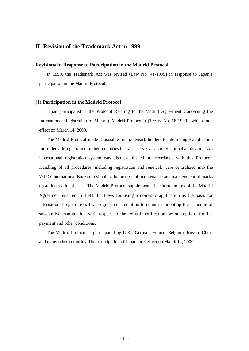# **II. Revision of the Trademark Act in 1999**

#### **Revisions In Response to Participation in the Madrid Protocol**

In 1999, the Trademark Act was revised (Law No. 41-1999) in response to Japan's participation in the Madrid Protocol.

#### **(1) Participation in the Madrid Protocol**

Japan participated in the Protocol Relating to the Madrid Agreement Concerning the International Registration of Marks ("Madrid Protocol") (Treaty No. 18-1999), which took effect on March 14, 2000.

The Madrid Protocol made it possible for trademark holders to file a single application for trademark registration in their countries that also serves as an international application. An international registration system was also established in accordance with this Protocol. Handling of all procedures, including registration and renewal, were centralized into the WIPO International Bureau to simplify the process of maintenance and management of marks on an international basis. The Madrid Protocol supplements the shortcomings of the Madrid Agreement enacted in 1891. It allows for using a domestic application as the basis for international registration. It also gives consideration to countries adopting the principle of substantive examination with respect to the refusal notification period, options for fee payment and other conditions.

The Madrid Protocol is participated by U.K., German, France, Belgium, Russia, China and many other countries. The participation of Japan took effect on March 14, 2000.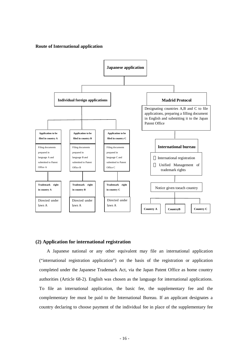#### **Route of International application**



#### **(2) Application for international registration**

A Japanese national or any other equivalent may file an international application ("international registration application") on the basis of the registration or application completed under the Japanese Trademark Act, via the Japan Patent Office as home country authorities (Article 68-2). English was chosen as the language for international applications. To file an international application, the basic fee, the supplementary fee and the complementary fee must be paid to the International Bureau. If an applicant designates a country declaring to choose payment of the individual fee in place of the supplementary fee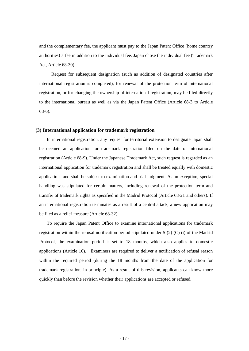and the complementary fee, the applicant must pay to the Japan Patent Office (home country authorities) a fee in addition to the individual fee. Japan chose the individual fee (Trademark Act, Article 68-30).

 Request for subsequent designation (such as addition of designated countries after international registration is completed), for renewal of the protection term of international registration, or for changing the ownership of international registration, may be filed directly to the international bureau as well as via the Japan Patent Office (Article 68-3 to Article 68-6).

#### **(3) International application for trademark registration**

In international registration, any request for territorial extension to designate Japan shall be deemed an application for trademark registration filed on the date of international registration (Article 68-9). Under the Japanese Trademark Act, such request is regarded as an international application for trademark registration and shall be treated equally with domestic applications and shall be subject to examination and trial judgment. As an exception, special handling was stipulated for certain matters, including renewal of the protection term and transfer of trademark rights as specified in the Madrid Protocol (Article 68-21 and others). If an international registration terminates as a result of a central attack, a new application may be filed as a relief measure (Article 68-32).

To require the Japan Patent Office to examine international applications for trademark registration within the refusal notification period stipulated under 5 (2) (C) (i) of the Madrid Protocol, the examination period is set to 18 months, which also applies to domestic applications (Article 16). Examiners are required to deliver a notification of refusal reason within the required period (during the 18 months from the date of the application for trademark registration, in principle). As a result of this revision, applicants can know more quickly than before the revision whether their applications are accepted or refused.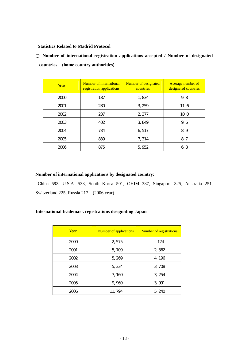#### **Statistics Related to Madrid Protocol**

Number of international registration applications accepted / Number of designated **countries (home country authorities)**

| Year | Number of international<br>registration applications | Number of designated<br>countries | <b>Average number of</b><br>designated countries |
|------|------------------------------------------------------|-----------------------------------|--------------------------------------------------|
| 2000 | 187                                                  | 1,834                             | 9.8                                              |
| 2001 | 280                                                  | 3,259                             | 11.6                                             |
| 2002 | 237                                                  | 2,377                             | 100                                              |
| 2003 | 402                                                  | 3,849                             | 9.6                                              |
| 2004 | 734                                                  | 6 517                             | 89                                               |
| 2005 | 839                                                  | 7, 314                            | 87                                               |
| 2006 | 875                                                  | 5,952                             | 68                                               |

#### **Number of international applications by designated country:**

 China 593, U.S.A. 533, South Korea 501, OHIM 387, Singapore 325, Australia 251, Switzerland 225, Russia 217 (2006 year)

#### **International trademark registrations designating Japan**

| Year | <b>Number of applications</b> | <b>Number of registrations</b> |
|------|-------------------------------|--------------------------------|
| 2000 | 2,575                         | 124                            |
| 2001 | 5,709                         | 2,362                          |
| 2002 | 5,269                         | 4,196                          |
| 2003 | 5,334                         | 3,708                          |
| 2004 | 7,160                         | 3,254                          |
| 2005 | 9,969                         | 3 9 9 1                        |
| 2006 | 11,794                        | 5,240                          |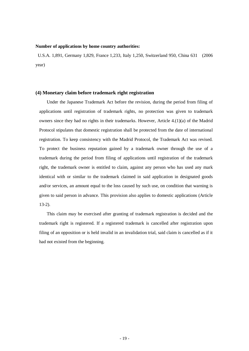#### **Number of applications by home country authorities:**

 U.S.A. 1,891, Germany 1,829, France 1,233, Italy 1,250, Switzerland 950, China 631 (2006 year)

#### **(4) Monetary claim before trademark right registration**

Under the Japanese Trademark Act before the revision, during the period from filing of applications until registration of trademark rights, no protection was given to trademark owners since they had no rights in their trademarks. However, Article 4.(1)(a) of the Madrid Protocol stipulates that domestic registration shall be protected from the date of international registration. To keep consistency with the Madrid Protocol, the Trademark Act was revised. To protect the business reputation gained by a trademark owner through the use of a trademark during the period from filing of applications until registration of the trademark right, the trademark owner is entitled to claim, against any person who has used any mark identical with or similar to the trademark claimed in said application in designated goods and/or services, an amount equal to the loss caused by such use, on condition that warning is given to said person in advance. This provision also applies to domestic applications (Article 13-2).

This claim may be exercised after granting of trademark registration is decided and the trademark right is registered. If a registered trademark is cancelled after registration upon filing of an opposition or is held invalid in an invalidation trial, said claim is cancelled as if it had not existed from the beginning.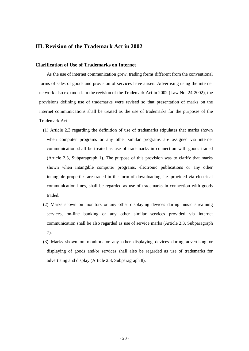# **III. Revision of the Trademark Act in 2002**

#### **Clarification of Use of Trademarks on Internet**

As the use of internet communication grew, trading forms different from the conventional forms of sales of goods and provision of services have arisen. Advertising using the internet network also expanded. In the revision of the Trademark Act in 2002 (Law No. 24-2002), the provisions defining use of trademarks were revised so that presentation of marks on the internet communications shall be treated as the use of trademarks for the purposes of the Trademark Act.

- (1) Article 2.3 regarding the definition of use of trademarks stipulates that marks shown when computer programs or any other similar programs are assigned via internet communication shall be treated as use of trademarks in connection with goods traded (Article 2.3, Subparagraph 1). The purpose of this provision was to clarify that marks shown when intangible computer programs, electronic publications or any other intangible properties are traded in the form of downloading, i.e. provided via electrical communication lines, shall be regarded as use of trademarks in connection with goods traded.
- (2) Marks shown on monitors or any other displaying devices during music streaming services, on-line banking or any other similar services provided via internet communication shall be also regarded as use of service marks (Article 2.3, Subparagraph 7).
- (3) Marks shown on monitors or any other displaying devices during advertising or displaying of goods and/or services shall also be regarded as use of trademarks for advertising and display (Article 2.3, Subparagraph 8).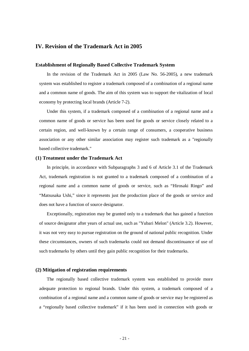# **IV. Revision of the Trademark Act in 2005**

#### **Establishment of Regionally Based Collective Trademark System**

In the revision of the Trademark Act in 2005 (Law No. 56-2005), a new trademark system was established to register a trademark composed of a combination of a regional name and a common name of goods. The aim of this system was to support the vitalization of local economy by protecting local brands (Article 7-2).

Under this system, if a trademark composed of a combination of a regional name and a common name of goods or service has been used for goods or service closely related to a certain region, and well-known by a certain range of consumers, a cooperative business association or any other similar association may register such trademark as a "regionally based collective trademark."

#### **(1) Treatment under the Trademark Act**

In principle, in accordance with Subparagraphs 3 and 6 of Article 3.1 of the Trademark Act, trademark registration is not granted to a trademark composed of a combination of a regional name and a common name of goods or service, such as "Hirosaki Ringo" and "Matsusaka Ushi," since it represents just the production place of the goods or service and does not have a function of source designator.

Exceptionally, registration may be granted only to a trademark that has gained a function of source designator after years of actual use, such as "Yubari Melon" (Article 3.2). However, it was not very easy to pursue registration on the ground of national public recognition. Under these circumstances, owners of such trademarks could not demand discontinuance of use of such trademarks by others until they gain public recognition for their trademarks.

#### **(2) Mitigation of registration requirements**

The regionally based collective trademark system was established to provide more adequate protection to regional brands. Under this system, a trademark composed of a combination of a regional name and a common name of goods or service may be registered as a "regionally based collective trademark" if it has been used in connection with goods or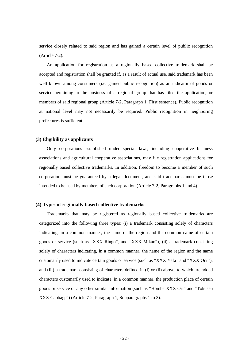service closely related to said region and has gained a certain level of public recognition (Article 7-2).

An application for registration as a regionally based collective trademark shall be accepted and registration shall be granted if, as a result of actual use, said trademark has been well known among consumers (i.e. gained public recognition) as an indicator of goods or service pertaining to the business of a regional group that has filed the application, or members of said regional group (Article 7-2, Paragraph 1, First sentence). Public recognition at national level may not necessarily be required. Public recognition in neighboring prefectures is sufficient.

#### **(3) Eligibility as applicants**

Only corporations established under special laws, including cooperative business associations and agricultural cooperative associations, may file registration applications for regionally based collective trademarks. In addition, freedom to become a member of such corporation must be guaranteed by a legal document, and said trademarks must be those intended to be used by members of such corporation (Article 7-2, Paragraphs 1 and 4).

#### **(4) Types of regionally based collective trademarks**

Trademarks that may be registered as regionally based collective trademarks are categorized into the following three types: (i) a trademark consisting solely of characters indicating, in a common manner, the name of the region and the common name of certain goods or service (such as "XXX Ringo", and "XXX Mikan"), (ii) a trademark consisting solely of characters indicating, in a common manner, the name of the region and the name customarily used to indicate certain goods or service (such as "XXX Yaki" and "XXX Ori "), and (iii) a trademark consisting of characters defined in (i) or (ii) above, to which are added characters customarily used to indicate, in a common manner, the production place of certain goods or service or any other similar information (such as "Homba XXX Ori" and "Tokusen XXX Cabbage") (Article 7-2, Paragraph 1, Subparagraphs 1 to 3).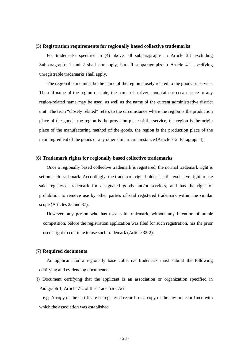#### **(5) Registration requirements for regionally based collective trademarks**

For trademarks specified in (4) above, all subparagraphs in Article 3.1 excluding Subparagraphs 1 and 2 shall not apply, but all subparagraphs in Article 4.1 specifying unregistrable trademarks shall apply.

The regional name must be the name of the region closely related to the goods or service. The old name of the region or state, the name of a river, mountain or ocean space or any region-related name may be used, as well as the name of the current administrative district unit. The term "closely related" refers to the circumstance where the region is the production place of the goods, the region is the provision place of the service, the region is the origin place of the manufacturing method of the goods, the region is the production place of the main ingredient of the goods or any other similar circumstance (Article 7-2, Paragraph 4).

#### **(6) Trademark rights for regionally based collective trademarks**

Once a regionally based collective trademark is registered, the normal trademark right is set on such trademark. Accordingly, the trademark right holder has the exclusive right to use said registered trademark for designated goods and/or services, and has the right of prohibition to remove use by other parties of said registered trademark within the similar scope (Articles 25 and 37).

However, any person who has used said trademark, without any intention of unfair competition, before the registration application was filed for such registration, has the prior user's right to continue to use such trademark (Article 32-2).

#### **(7) Required documents**

An applicant for a regionally base collective trademark must submit the following certifying and evidencing documents:

(i) Document certifying that the applicant is an association or organization specified in Paragraph 1, Article 7-2 of the Trademark Act

e.g. A copy of the certificate of registered records or a copy of the law in accordance with which the association was established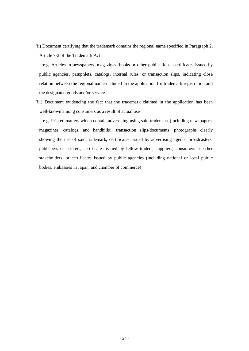(ii) Document certifying that the trademark contains the regional name specified in Paragraph 2, Article 7-2 of the Trademark Act

e.g. Articles in newspapers, magazines, books or other publications, certificates issued by public agencies, pamphlets, catalogs, internal rules, or transaction slips, indicating close relation between the regional name included in the application for trademark registration and the designated goods and/or services

(iii) Document evidencing the fact that the trademark claimed in the application has been well-known among consumers as a result of actual use

e.g. Printed matters which contain advertising using said trademark (including newspapers, magazines, catalogs, and handbills), transaction slips/documents, photographs clearly showing the use of said trademark, certificates issued by advertising agents, broadcasters, publishers or printers, certificates issued by fellow traders, suppliers, consumers or other stakeholders, or certificates issued by public agencies (including national or local public bodies, embassies in Japan, and chamber of commerce)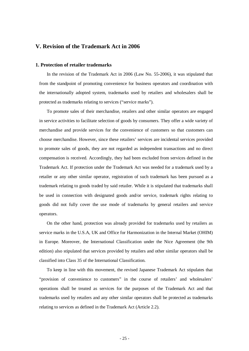### **V. Revision of the Trademark Act in 2006**

#### **1. Protection of retailer trademarks**

In the revision of the Trademark Act in 2006 (Law No. 55-2006), it was stipulated that from the standpoint of promoting convenience for business operators and coordination with the internationally adopted system, trademarks used by retailers and wholesalers shall be protected as trademarks relating to services ("service marks").

To promote sales of their merchandise, retailers and other similar operators are engaged in service activities to facilitate selection of goods by consumers. They offer a wide variety of merchandise and provide services for the convenience of customers so that customers can choose merchandise. However, since these retailers' services are incidental services provided to promote sales of goods, they are not regarded as independent transactions and no direct compensation is received. Accordingly, they had been excluded from services defined in the Trademark Act. If protection under the Trademark Act was needed for a trademark used by a retailer or any other similar operator, registration of such trademark has been pursued as a trademark relating to goods traded by said retailer. While it is stipulated that trademarks shall be used in connection with designated goods and/or service, trademark rights relating to goods did not fully cover the use mode of trademarks by general retailers and service operators.

On the other hand, protection was already provided for trademarks used by retailers as service marks in the U.S.A, UK and Office for Harmonization in the Internal Market (OHIM) in Europe. Moreover, the International Classification under the Nice Agreement (the 9th edition) also stipulated that services provided by retailers and other similar operators shall be classified into Class 35 of the International Classification.

To keep in line with this movement, the revised Japanese Trademark Act stipulates that "provision of convenience to customers" in the course of retailers' and wholesalers' operations shall be treated as services for the purposes of the Trademark Act and that trademarks used by retailers and any other similar operators shall be protected as trademarks relating to services as defined in the Trademark Act (Article 2.2).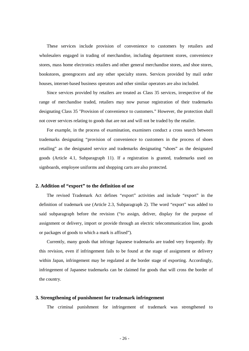These services include provision of convenience to customers by retailers and wholesalers engaged in trading of merchandise, including department stores, convenience stores, mass home electronics retailers and other general merchandise stores, and shoe stores, bookstores, greengrocers and any other specialty stores. Services provided by mail order houses, internet-based business operators and other similar operators are also included.

Since services provided by retailers are treated as Class 35 services, irrespective of the range of merchandise traded, retailers may now pursue registration of their trademarks designating Class 35 "Provision of convenience to customers." However, the protection shall not cover services relating to goods that are not and will not be traded by the retailer.

For example, in the process of examination, examiners conduct a cross search between trademarks designating "provision of convenience to customers in the process of shoes retailing" as the designated service and trademarks designating "shoes" as the designated goods (Article 4.1, Subparagraph 11). If a registration is granted, trademarks used on signboards, employee uniforms and shopping carts are also protected.

#### **2. Addition of "export" to the definition of use**

The revised Trademark Act defines "export" activities and include "export" in the definition of trademark use (Article 2.3, Subparagraph 2). The word "export" was added to said subparagraph before the revision ("to assign, deliver, display for the purpose of assignment or delivery, import or provide through an electric telecommunication line, goods or packages of goods to which a mark is affixed").

Currently, many goods that infringe Japanese trademarks are traded very frequently. By this revision, even if infringement fails to be found at the stage of assignment or delivery within Japan, infringement may be regulated at the border stage of exporting. Accordingly, infringement of Japanese trademarks can be claimed for goods that will cross the border of the country.

#### **3. Strengthening of punishment for trademark infringement**

The criminal punishment for infringement of trademark was strengthened to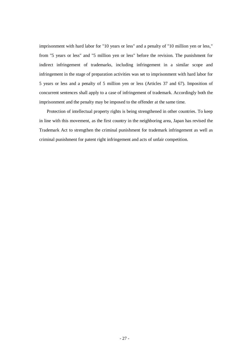imprisonment with hard labor for "10 years or less" and a penalty of "10 million yen or less," from "5 years or less" and "5 million yen or less" before the revision. The punishment for indirect infringement of trademarks, including infringement in a similar scope and infringement in the stage of preparation activities was set to imprisonment with hard labor for 5 years or less and a penalty of 5 million yen or less (Articles 37 and 67). Imposition of concurrent sentences shall apply to a case of infringement of trademark. Accordingly both the imprisonment and the penalty may be imposed to the offender at the same time.

Protection of intellectual property rights is being strengthened in other countries. To keep in line with this movement, as the first country in the neighboring area, Japan has revised the Trademark Act to strengthen the criminal punishment for trademark infringement as well as criminal punishment for patent right infringement and acts of unfair competition.